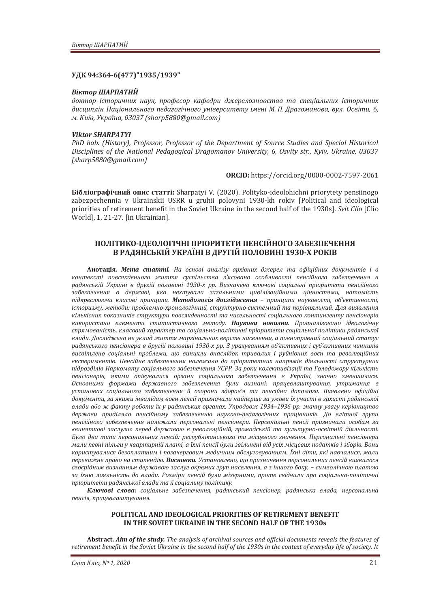## **ʢʓʙ 94:364-6(477)"1935/1939"**

#### **Віктор ШАРПАТИЙ**

доктор *історичних наук, професор кафедри джерелознавства та спеціальних історичних* дисииплін Національного педагогічного університету імені М. П. Драгоманова, вул. Освіти, 6.  $M.$  Kuïв, Україна, 03037 (sharp5880@gmail.com)

### *Viktor SHARPATYI*

PhD hab. (History), Professor, Professor of the Department of Source Studies and Special Historical *Disciplines of the National Pedagogical Dragomanov University, 6, Osvity str., Kyiv, Ukraine, 03037*  $(sharp5880@gmail.com)$ 

**ORCID:** https://orcid.org/0000-0002-7597-2061

**Бібліографічний опис статті:** Sharpatyi V. (2020). Polityko-ideolohichni priorytety pensiinogo zabezpechennia v Ukrainskii USRR u gruhii polovyni 1930-kh rokiv [Political and ideological priorities of retirement benefit in the Soviet Ukraine in the second half of the 1930s]. Svit Clio [Clio World], 1, 21-27. [in Ukrainian].

# ПОЛІТИКО-ІДЕОЛОГІЧНІ ПРІОРИТЕТИ ПЕНСІЙНОГО ЗАБЕЗПЕЧЕННЯ В РАДЯНСЬКІЙ УКРАЇНІ В ДРУГІЙ ПОЛОВИНІ 1930-Х РОКІВ

**Анотація. Мета статті.** На основі аналізу архівних джерел та офіційних документів і в контексті повсякденного життя суспільства з'ясовано особливості пенсійного забезпечення в радянській Україні в другій половині 1930-х рр. Визначено ключові соціальні пріоритети пенсійного забезпечення в державі, яка нехтувала загальними цивілізаційними цінностями, натомість лідкреслюючи класові принципи. Методологія дослідження – принципи науковості, об'єктивності, iсторизму, методи: проблемно-хронологічний, структурно-системний та порівняльний. Для виявлення кількісних показників структури повсякденності та чисельності соціального контингенту пенсіонерів використано елементи статистичного методу. Наукова новизна. Проаналізовано ідеологічну спрямованість, класовий характер та соціально-політичні пріоритети соціальної політики радянської влади. Досліджено не уклад життя маргінальних верств населення, а повноправний соціальний статус  $padянського пенсіонера в другій пол*овині* 1930-х *рр. З урахуванням об'єктивних і суб'єктивних чинникі*$ висвітлено соціальні проблеми, що виникли внаслідок тривалих і руйнівних воєн та революційних експериментів. Пенсійне забезпечення належало до пріоритетних напрямів діяльності структурних підрозділів Наркомату соціального забезпечення УСРР. За роки колективізації та Голодомору кількість пенсіонерів, якими опікувалися органи соціального забезпечення в Україні, значно зменшилася. Основними формами державного забезпечення були визнані: працевлаштування, утримання в установах соціального забезпечення й охорони здоров'я та пенсійна допомога. Виявлено офіційні документи, за якими інвалідам воєн пенсії призначали найперше за умови їх участі в захисті радянської *˅ˎ˃ˇˋ˃˄ˑˉ˗˃ˍ˕˖˓ˑ˄ˑ˕ˋ˫˘˖˓˃ˇˢː˔˟ˍˋ˘ˑ˓ˆ˃ː˃˘Ǥʢ˒˓ˑˇˑ˅ˉͷͿͺ–ͷͿͼ˓˓Ǥˊː˃˚ː˖˖˅˃ˆ˖ˍˈ˓˪˅ːˋ˙˕˅ˑ* держави приділяло пенсійному забезпеченню науково-педагогічних працівників. До елітної групи пенсійного забезпечення належали персональні пенсіонери. Персональні пенсії призначали особам за «виняткові заслуги» перед державою в революційній, громадській та культурно-освітній діяльності. Було два типи персональних пенсій: республіканського та місцевого значення. Персональні пенсіонери мали певні пільги у квартирній платі, а їхні пенсії були звільнені від усіх місцевих податків і зборів. Вони користувалися безоплатним *і позачерговим медичним обслуговуванням. Їхні діти, які навчалися, мали* переважне право на стипендію. Висновки. Установлено, що призначення персональних пенсій виявилося своєрідним визнанням державою заслуг окремих груп населення, а з іншого боку, - символічною платою  $3a$  їхню лояльність до влади. Розміри пенсій були мізерними, проте свідчили про соціально-політичні пріоритети радянської влади та її соціальну політику.

Ключові слова: соціальне забезпечення, радянський пенсіонер, радянська влада, персональна пенсія, працевлаштування.

## **POLITICAL AND IDEOLOGICAL PRIORITIES OF RETIREMENT BENEFIT**  IN THE SOVIET UKRAINE IN THE SECOND HALF OF THE 1930s

**Abstract. Aim of the study.** The analysis of archival sources and official documents reveals the features of retirement benefit in the Soviet Ukraine in the second half of the 1930s in the context of everyday life of society. It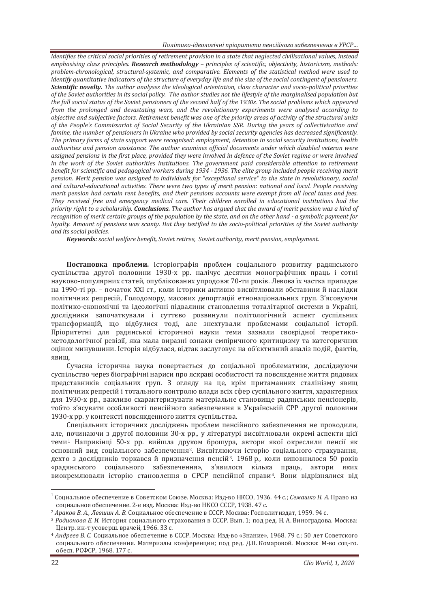*identifies the critical social priorities of retirement provision in a state that neglected civilisational values, instead emphasising class principles.* Research methodology - principles of scientific, objectivity, historicism, methods: problem-chronological, structural-systemic, and comparative. Elements of the statistical method were used to *identify quantitative indicators of the structure of everyday life and the size of the social contingent of pensioners. Scientific novelty.* The author analyses the ideological orientation, class character and socio-political priorities of the Soviet authorities in its social policy. The author studies not the lifestyle of the marginalised population but *the full social status of the Soviet pensioners of the second half of the 1930s. The social problems which appeared from the prolonged and devastating wars, and the revolutionary experiments were analysed according to objective and subjective factors. Retirement benefit was one of the priority areas of activity of the structural units* of the People's Commissariat of Social Security of the Ukrainian SSR. During the years of collectivisation and famine, the number of pensioners in Ukraine who provided by social security agencies has decreased significantly. *The primary forms of state support were recognised: employment, detention in social security institutions. health authorities and pension assistance. The author examines official documents under which disabled veteran were* assianed pensions in the first place, provided they were involved in defence of the Soviet reaime or were involved in the work of the Soviet authorities institutions. The government paid considerable attention to retirement *benefit for scientific and pedagogical workers during 1934 - 1936. The elite group included people receiving merit* pension. Merit pension was assigned to individuals for "exceptional service" to the state in revolutionary, social and cultural-educational activities. There were two types of merit pension: national and local. People receiving merit pension had certain rent benefits, and their pensions accounts were exempt from all local taxes and fees. They received free and emergency medical care. Their children enrolled in educational institutions had the *priority right to a scholarship.* Conclusions. The author has argued that the award of merit pension was a kind of *recognition of merit certain groups of the population by the state, and on the other hand - a symbolic payment for loyalty. Amount of pensions was scanty. But they testified to the socio-political priorities of the Soviet authority* and its social policies.

*Keywords: social welfare benefit, Soviet retiree, Soviet authority, merit pension, employment.* 

Постановка проблеми. Історіографія проблем соціального розвитку радянського суспільства другої половини 1930-х рр. налічує десятки монографічних праць і сотні науково-популярних статей, опублікованих упродовж 70-ти років. Левова їх частка припадає на 1990-ті рр. – початок XXI ст., коли історики активно висвітлювали обставини й наслілки політичних репресій, Голодомору, масових депортацій етнонаціональних груп. З'ясовуючи політико-економічні та ідеологічні підвалини становлення тоталітарної системи в Україні, дослідники започаткували і суттєво розвинули політологічний аспект суспільних трансформацій, що відбулися тоді, але знехтували проблемами соціальної історії. Пріоритетні для радянської історичної науки теми зазнали своєрідної теоретикометолологічної ревізії, яка мала виразні ознаки емпіричного критицизму та категоричних оцінок минувшини. Історія відбулася, відтак заслуговує на об'єктивний аналіз подій, фактів, ЯВИЩ.

Сучасна історична наука повертається до соціальної проблематики, досліджуючи суспільство через біографічні нариси про яскраві особистості та повсякденне життя рядових представників соціальних груп. З огляду на це, крім притаманних сталінізму явищ політичних репресій і тотального контролю влади всіх сфер суспільного життя, характерних для 1930-х ро., важливо схарактеризувати матеріальне становише радянських пенсіонерів. тобто з'ясувати особливості пенсійного забезпечення в Українській СРР другої половини 1930-х рр. у контексті повсякденного життя суспільства.

Спеціальних історичних досліджень проблем пенсійного забезпечення не проводили, але, починаючи з другої половини 30-х рр., у літературі висвітлювали окремі аспекти цієї теми<sup>1</sup> Наприкінці 50-х рр. вийшла друком брошура, автори якої окреслили пенсії як основний вид соціального забезпечення<sup>2</sup>. Висвітлюючи історію соціального страхування, дехто з дослідників торкався й призначення пенсій<sup>3</sup>. 1968 р., коли виповнилося 50 років «радянського соціального забезпечення», з'явилося кілька праць, автори яких виокремлювали історію становлення в СРСР пенсійної справи<sup>4</sup>. Вони відрізнялися від

<sup>&</sup>lt;sup>1</sup> Социальное обеспечение в Советском Союзе. Москва: Изд-во НКСО, 1936. 44 с.; Семашко Н. А. Право на социальное обеспечение. 2-е изд. Москва: Изд-во НКСО СССР, 1938. 47 с.

<sup>&</sup>lt;sup>2</sup> Араков В. А., Левшин А. В. Социальное обеспечение в СССР. Москва: Госполитиздат, 1959. 94 с.

<sup>&</sup>lt;sup>3</sup> Родионова Е. И. История социального страхования в СССР. Вып. 1; под ред. Н. А. Виноградова. Москва: Центр. ин-т усоверш. врачей, 1966. 33 с.

<sup>&</sup>lt;sup>4</sup> Андреев В. С. Социальное обеспечение в СССР. Москва: Изд-во «Знание», 1968. 79 с.: 50 лет Советского социального обеспечения. Материалы конференции; под ред. Д.П. Комаровой. Москва: М-во соц-го. обесп. РСФСР, 1968. 177 с.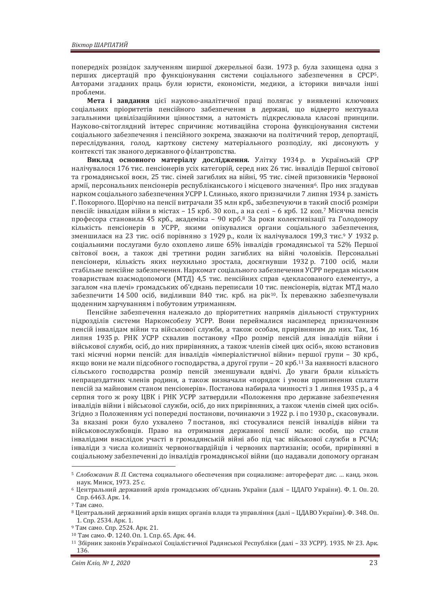попередніх розвідок залученням ширшої джерельної бази. 1973 р. була захишена одна з перших дисертацій про функціонування системи соціального забезпечення в СРСР5. Авторами згаданих праць були юристи, економісти, медики, а історики вивчали інші проблеми.

**Мета і завдання** цієї науково-аналітичної праці полягає у виявленні ключових соціальних пріоритетів пенсійного забезпечення в державі, що відверто нехтувала загальними цивілізаційними цінностями, а натомість підкреслювала класові принципи. Науково-світоглядний інтерес спричиняє мотиваційна сторона функціонування системи соціального забезпечення і пенсійного зокрема, зважаючи на політичний терор, депортації, переслідування, голод, карткову систему матеріального розподілу, які дисонують у контексті так званого державного філантропства.

Виклад основного матеріалу дослідження. Улітку 1934 р. в Українській СРР налічувалося 176 тис. пенсіонерів усіх категорій, серед них 26 тис. інвалідів Першої світової та громадянської воєн, 25 тис. сімей загиблих на війні, 95 тис. сімей призовників Червоної армії, персональних пенсіонерів республіканського і місцевого значення<sup>6</sup>. Про них згадував нарком соціального забезпечення УСРР І. Слинько, якого призначили 7 липня 1934 р. замість Г. Покорного. Щорічно на пенсії витрачали 35 млн крб., забезпечуючи в такий спосіб розміри пенсій: інвалідам війни в містах – 15 крб. 30 коп., а на селі – 6 крб. 12 коп.<sup>7</sup> Місячна пенсія професора становила 45 крб., академіка - 90 крб.<sup>8</sup> За роки колективізації та Голодомору кількість пенсіонерів в УСРР, якими опікувалися органи соціального забезпечення, зменшилася на 23 тис. осіб порівняно з 1929 р., коли їх налічувалося 199,3 тис.<sup>9</sup> У 1932 р. соціальними послугами було охоплено лише 65% інвалідів громадянської та 52% Першої світової воєн, а також дві третини родин загиблих на війні чоловіків. Персональні пенсіонери, кількість яких неухильно зростала, досягнувши 1932 р. 7100 осіб, мали стабільне пенсійне забезпечення. Наркомат соціального забезпечення УСРР передав міським товариствам взаємодопомоги (МТД) 4,5 тис. пенсійних справ «декласованого елементу», а загалом «на плечі» громадських об'єднань переписали 10 тис. пенсіонерів, відтак МТД мало забезпечити 14 500 осіб, виділивши 840 тис. крб. на рік<sup>10</sup>. Їх переважно забезпечували щоденним харчуванням і побутовим утриманням.

Пенсійне забезпечення належало до пріоритетних напрямів діяльності структурних підрозділів системи Наркомсобезу УСРР. Вони переймалися насамперед призначенням пенсій інвалідам війни та військової служби, а також особам, прирівняним до них. Так, 16 липня 1935 р. РНК УСРР схвалив постанову «Про розмір пенсій для інвалідів війни і військової служби, осіб, до них прирівняних, а також членів сімей цих осіб», якою встановив такі місячні норми пенсій: для інвалідів «імперіалістичної війни» першої групи – 30 крб. якщо вони не мали підсобного господарства, а другої групи – 20 крб.<sup>11</sup> За наявності власного сільського господарства розмір пенсій зменшували вдвічі. До уваги брали кількість непрацездатних членів родини, а також визначали «порядок і умови припинення сплати пенсій за майновим станом пенсіонерів». Постанова набирала чинності з 1 липня 1935 р., а 4 серпня того ж року ЦВК і РНК УСРР затвердили «Положення про державне забезпечення інвалідів війни і військової служби, осіб, до них прирівняних, а також членів сімей цих осіб». Згідно з Положенням усі попередні постанови, починаючи з 1922 р. і по 1930 р., скасовували. За вказані роки було ухвалено 7 постанов, які стосувалися пенсій інвалідів війни та військовослужбовців. Право на отримання державної пенсії мали: особи, що стали інвалідами внаслідок участі в громадянській війні або під час військової служби в РСЧА; інваліди з числа колишніх червоногвардійців і червоних партизанів; особи, прирівняні в соціальному забезпеченні до інвалідів громадянської війни (що надавали допомогу органам

<sup>&</sup>lt;sup>5</sup> Слобожанин В. П. Система социального обеспечения при социализме: автореферат дис. ... канд. экон. наук. Минск, 1973. 25 с.

<sup>&</sup>lt;sup>6</sup> Центральний державний архів громадських об'єднань України (далі - ЦДАГО України). Ф. 1. Оп. 20. Спр. 6463. Арк. 14.<br>7 Там само.

<sup>&</sup>lt;sup>8</sup> Центральний державний архів вищих органів влади та управління (далі – ЦДАВО України). Ф. 348. Оп. 1. Спр. 2534. Арк. 1.

<sup>&</sup>lt;sup>9</sup> Там само. Спр. 2524. Арк. 21.

<sup>10</sup> Там само. Ф. 1240. Оп. 1. Спр. 65. Арк. 44.

<sup>11</sup> Збірник законів Української Соціалістичної Радянської Республіки (далі – ЗЗ УСРР). 1935. № 23. Арк. 136.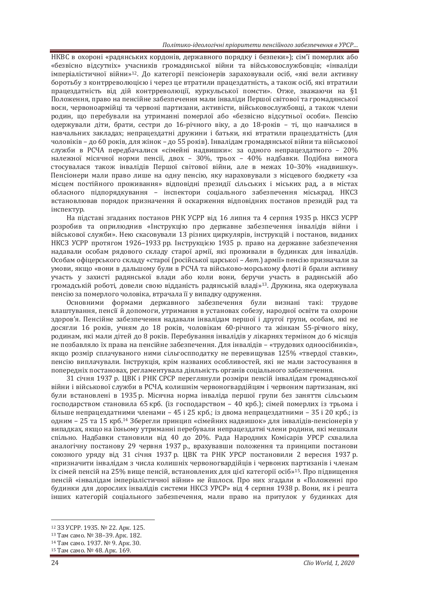НКВС в охороні «радянських кордонів, державного порядку і безпеки»); сім'ї померлих або «безвісно відсутніх» учасників громадянської війни та військовослужбовців; «інваліди імперіалістичної війни»<sup>12</sup>. До категорії пенсіонерів зараховували осіб, «які вели активну боротьбу з контрреволюцією і через це втратили працездатність, а також осіб, які втратили працездатність від дій контрреволюції, куркульської помсти». Отже, зважаючи на §1 Положення, право на пенсійне забезпечення мали інваліди Першої світової та громадянської воєн, червоноармійці та червоні партизани, активісти, військовослужбовці, а також члени родин, що перебували на утриманні померлої або «безвісно відсутньої особи». Пенсію одержували діти, брати, сестри до 16-річного віку, а до 18-років – ті, що навчалися в навчальних заклалах: непрацезлатні лружини і батьки, які втратили працезлатність (для чоловіків - до 60 років, для жінок - до 55 років). Інвалідам громадянської війни та військової служби в РСЧА передбачалися «сімейні надвишки»; за одного непрацездатного – 20% належної місячної норми пенсії, двох - 30%, трьох - 40% надбавки. Подібна вимога стосувалася також інвалідів Першої світової війни, але в межах 10-30% «надвишку». Пенсіонери мали право лише на одну пенсію, яку нараховували з місцевого бюджету «за місцем постійного проживання» відповідні президії сільських і міських рад, а в містах обласного підпорядкування - інспектори соціального забезпечення міськрад. НКСЗ встановлював порядок призначення й оскарження відповідних постанов президій рад та інспектур.

На підставі згаданих постанов РНК УСРР від 16 липня та 4 серпня 1935 р. НКСЗ УСРР розробив та оприлюднив «Інструкцію про державне забезпечення інвалідів війни і військової служби». Нею скасовували 13 різних циркулярів, інструкцій і постанов, виданих НКСЗ УСРР протягом 1926–1933 рр. Інструкцією 1935 р. право на державне забезпечення надавали особам рядового складу старої армії, які проживали в будинках для інвалідів. Особам офіцерського складу «старої (російської царської – Авт.) армії» пенсію призначали за умови, якщо «вони в дальшому були в РСЧА та військово-морському флоті й брали активну участь у захисті радянської влади або коли вони, беручи участь в радянській або громадській роботі, довели свою відданість радянській владі»<sup>13</sup>. Дружина, яка одержувала пенсію за померлого чоловіка, втрачала її у випадку одруження.

Основними формами державного забезпечення були визнані такі: трудове влаштування, пенсії й допомоги, утримання в установах собезу, народної освіти та охорони здоров'я. Пенсійне забезпечення надавали інвалідам першої і другої групи, особам, які не досягли 16 років, учням до 18 років, чоловікам 60-річного та жінкам 55-річного віку, родинам, які мали дітей до 8 років. Перебування інвалідів у лікарнях терміном до 6 місяців не позбавляло їх права на пенсійне забезпечення. Для інвалілів – «трулових олноосібників». якшо розмір сплачуваного ними сільгоспполатку не перевишував 125% «твердої ставки». пенсію виплачували. Інструкція, крім названих особливостей, які не мали застосування в попередніх постановах, регламентувала діяльність органів соціального забезпечення.

31 січня 1937 р. ЦВК і РНК СРСР переглянули розміри пенсій інвалідам громадянської війни і військової служби в РСЧА, колишнім червоногвардійцям і червоним партизанам, які були встановлені в 1935 р. Місячна норма інваліла першої групи без заняття сільським господарством становила 65 крб. (із господарством - 40 крб.); сімей померлих із трьома і більше непрацездатними членами - 45 і 25 крб.; із двома непрацездатними - 35 і 20 крб.; із одним - 25 та 15 крб.<sup>14</sup> Зберегли принцип «сімейних надвишок» для інвалідів-пенсіонерів у випадках, якщо на їхньому утриманні перебували непрацездатні члени родини, які мешкали спільно. Надбавки становили від 40 до 20%. Рада Народних Комісарів УРСР схвалила аналогічну постанову 29 червня 1937 р., врахувавши положення та принципи постанови союзного уряду від 31 січня 1937 р. ЦВК та РНК УРСР постановили 2 вересня 1937 р. «призначити інвалідам з числа колишніх червоногвардійців і червоних партизанів і членам їх сімей пенсій на 25% вище пенсій, встановлених для цієї категорії осіб»<sup>15</sup>. Про підвищення пенсій «інвалідам імперіалістичної війни» не йшлося. Про них згадали в «Положенні про булинки лля дорослих інвалідів системи НКСЗ УРСР» від 4 серпня 1938 р. Вони, як і решта інших категорій соціального забезпечення, мали право на притулок у будинках для

<sup>12 33</sup> УСРР. 1935. № 22. Арк. 125.

 $13$  Там само. № 38-39. Арк. 182.

<sup>14</sup> Там само. 1937. № 9. Арк. 30.

<sup>&</sup>lt;sup>15</sup> Там само. № 48. Арк. 169.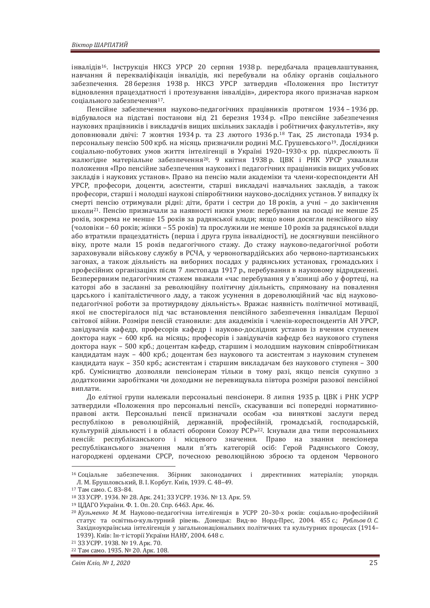iнвалiлiв<sup>16</sup>. Iнструкція НКСЗ УРСР 20 серпня 1938 р. передбачала працевлаштування. навчання й перекваліфікація інвалідів, які перебували на обліку органів соціального забезпечення. 28 березня 1938 р. НКСЗ УРСР затвердив «Положення про Інститут відновлення працездатності і протезування інвалідів», директора якого призначав нарком соціального забезпечення<sup>17</sup>.

Пенсійне забезпечення науково-пелагогічних працівників протягом 1934 – 1936 рр. вілбувалося на пілставі постанови віл 21 березня 1934 р. «Про пенсійне забезпечення наукових працівників і викладачів вищих шкільних закладів і робітничих факультетів», яку доповнювали двічі: 7 жовтня 1934 р. та 23 лютого 1936 р.<sup>18</sup> Так, 25 листопада 1934 р. персональну пенсію 500 крб. на місяць призначили родині М.С. Грушевського<sup>19</sup>. Дослідники соціально-побутових умов життя інтелігенції в Україні 1920–1930-х рр. підкреслюють її жалюгідне матеріальне забезпечення<sup>20</sup>. 9 квітня 1938 р. ЦВК і РНК УРСР ухвалили положення «Про пенсійне забезпечення наукових і педагогічних працівників вищих учбових закладів і наукових установ». Право на пенсію мали академіки та члени-кореспонденти АН УРСР, професори, доценти, асистенти, старші викладачі навчальних закладів, а також професори, старші і молодші наукові співробітники науково-дослідних установ. У випадку їх смерті пенсію отримували рідні: діти, брати і сестри до 18 років, а учні – до закінчення школи<sup>21</sup>. Пенсію призначали за наявності низки умов: перебування на посалі не менше 25 років, зокрема не менше 15 років за радянської влади: якщо вони досягли пенсійного віку  $(40\,\text{m})$  та прослужили не менше 10 років за радянської влади або втратили працездатність (перша і друга група інвалідності), не досягнувши пенсійного віку, проте мали 15 років педагогічного стажу. До стажу науково-педагогічної роботи зараховували військову службу в РСЧА, у червоногвардійських або червоно-партизанських загонах, а також діяльність на виборних посадах у радянських установах, громадських і професійних організаціях після 7 листопада 1917 р., перебування в науковому відрядженні. Безперервним педагогічним стажем вважали «час перебування у в'язниці або у фортеці, на каторзі або в засланні за революційну політичну діяльність, спрямовану на повалення царського і капіталістичного ладу, а також усунення в дореволюційний час від науковопедагогічної роботи за протиурядову діяльність». Вражає наявність політичної мотивації, якої не спостерігалося під час встановлення пенсійного забезпечення інвалідам Першої світової війни. Розміри пенсій становили: для академіків і членів-кореспондентів АН УРСР, завідувачів кафедр, професорів кафедр і науково-дослідних установ із вченим ступенем доктора наук – 600 крб. на місяць: професорів і завідувачів кафедр без наукового ступеня доктора наук - 500 крб.; доцентам кафедр, старшим і молодшим науковим співробітникам канлилатам наук – 400 крб.: лоцентам без наукового та асистентам з науковим ступенем кандидата наук - 350 крб.; асистентам і старшим викладачам без наукового ступеня - 300 крб. Сумісництво дозволяли пенсіонерам тільки в тому разі, якщо пенсія сукупно з додатковими заробітками чи доходами не перевищувала півтора розміри разової пенсійної виплати.

До елітної групи належали персональні пенсіонери. 8 липня 1935 р. ЦВК і РНК УСРР затвердили «Положення про персональні пенсії», скасувавши всі попередні нормативноправові акти. Персональні пенсії призначали особам «за виняткові заслуги перед республікою в революційній, державній, професійній, громадській, господарській, культурній діяльності і в області оборони Союзу РСР»<sup>22</sup>. Існували два типи персональних пенсій: республіканського і місцевого значення. Право на звання пенсіонера республіканського значення мали п'ять категорій осіб: Герой Ралянського Союзу. нагороджені орденами СРСР, почесною революційною зброєю та орденом Червоного

<sup>&</sup>lt;sup>16</sup> Соціальне забезпечення. Збірник законодавчих і директивних матеріалів; упорядн. Л. М. Брушловський, В. І. Корбут. Київ, 1939. С. 48–49.<br><sup>17</sup> Там само. С. 83–84.<br><sup>18</sup> ЗЗ УСРР. 1934. № 28. Арк. 241; ЗЗ УСРР. 1936. № 13. Арк. 59.

<sup>19</sup> ЦДАГО України. Ф. 1. Оп. 20. Спр. 6463. Арк. 46.

<sup>&</sup>lt;sup>20</sup> Кузьменко М. М. Науково-педагогічна інтелігенція в УСРР 20-30-х років: соціально-професійний статус та освітньо-культурний рівень. Донецьк: Вид-во Норд-Прес, 2004. 455 с.; Рубльов О.С. Західноукраїнська інтелігенція у загальнонаціональних політичних та культурних процесах (1914-1939). Київ: Ін-т історії України НАНУ, 2004. 648 с.

<sup>21 33</sup> УСРР. 1938. № 19. Арк. 70.

<sup>22</sup> Там само. 1935. № 20. Арк. 108.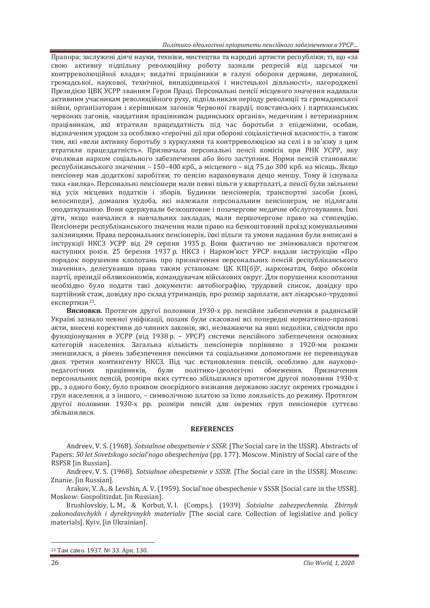*ʞˑˎ˪˕ˋˍˑ-˪ˇˈˑˎˑˆ˪˚ː˪˒˓˪ˑ˓ˋ˕ˈ˕ˋ˒ˈː˔˪ˌːˑˆˑˊ˃˄ˈˊ˒ˈ˚ˈːːˢ˅ʢʟʠʟǥ*

Прапора; заслужені діячі науки, техніки, мистецтва та народні артисти республіки; ті, що «за свою активну підпільну революційну роботу зазнали репресій від царської чи контрреволюційної влади»; видатні працівники в галузі оборони держави, державної, громадської, наукової, технічної, винахідницької і мистецької діяльності», нагороджені Президією ЦВК УСРР званням Героя Праці. Персональні пенсії місцевого значення надавали активним учасникам революційного руху, підпільникам періоду революції та громадянської війни, організаторам і керівникам загонів Червоної гвардії, повстанських і партизанських червоних загонів, «видатним працівникам радянських органів», медичним і ветеринарним працівникам, які втратили працездатність під час боротьби з епідеміями, особам, відзначеним урядом за особливо «героїчні дії при обороні соціалістичної власності», а також тим, які «вели активну боротьбу з куркулями та контрреволюцією на селі і в зв'язку з цим втратили працездатність». Призначала персональні пенсії комісія при РНК УСРР, яку очолював нарком соціального забезпечення або його заступник. Норми пенсій становили: республіканського значення – 150–400 крб., а місцевого – від 75 до 300 крб. на місяць. Якщо пенсіонер мав додаткові заробітки, то пенсію нараховували дещо меншу. Тому й існувала така «вилка». Персональні пенсіонери мали певні пільги у квартплаті, а пенсії були звільнені від усіх місцевих податків і зборів. Будинки пенсіонерів, транспортні засоби (коні, велосипеди), домашня худоба, які належали персональним пенсіонерам, не підлягали оподаткуванню. Вони одержували безкоштовне і позачергове медичне обслуговування. Їхні діти, якщо навчалися в навчальних закладах, мали першочергове право на стипендію. Пенсіонери республіканського значення мали право на безкоштовний проїзд комунальними залізницями. Права персональних пенсіонерів, їхні пільги та умови надання були виписані в інструкції НКСЗ УСРР від 29 серпня 1935 р. Вони фактично не змінювалися протягом наступних років. 25 березня 1937 р. НКСЗ і Нарком'юст УРСР видали інструкцію «Про порядок порушення клопотань про призначення персональних пенсій республіканського значення», делегувавши права таким установам: ЦК КП(б)У, наркоматам, бюро обкомів партії, президії облвиконкомів, командувачам військових округ. Для порушення клопотання необхідно було подати такі документи: автобіографію, трудовий список, довідку про партійний стаж, ловілку про склал утриманців, про розмір зарплати, акт лікарсько-трулової експертизи<sup>23</sup>.

Висновки. Протягом другої половини 1930-х рр. пенсійне забезпечення в радянській Україні зазнало певної уніфікації, позаяк були скасовані всі попередні нормативно-правові акти, внесені корективи до чинних законів, які, незважаючи на явні недоліки, свідчили про функціонування в УСРР (від 1938 р. – УРСР) системи пенсійного забезпечення основних категорій населення. Загальна кількість пенсіонерів порівняно з 1920-ми роками зменшилася, а рівень забезпечення пенсіями та соціальними лопомогами не перевишував двох третин контингенту НКСЗ. Під час встановлення пенсій, особливо для науковопедагогічних працівників, були політико-ідеологічні обмеження. Призначення персональних пенсій, розміри яких суттєво збільшилися протягом другої половини 1930-х рр., з одного боку, було проявом своєрідного визнання державою заслуг окремих громадян і груп населення, а з іншого. – символічною платою за їхню лояльність до режиму. Протягом другої половини 1930-х рр. розміри пенсій для окремих груп пенсіонерів суттєво збільшилися.

## **REFERENCES**

Andreev, V. S. (1968). *Sotsialnoe obespetsenie v SSSR*. [The Social care in the USSR]. Abstracts of Papers: *50 let Sovetskogo social'nogo obespecheniya* (pp. 177). Moscow. Ministry of Social care of the RSFSR [in Russian].

Andreev, V. S. (1968). *Sotsialnoe obespetsenie v SSSR*. [The Social care in the USSR]. Moscow: Znanie. [in Russian].

Arakov, V. A., & Levshin, A. V. (1959). Social'noe obespechenie v SSSR [Social care in the USSR]. Moskow: Gospolitizdat. [in Russian].

Brushlovskiy, L. M., & Korbut, V. I. (Comps.). (1939) *Sotsialne zabezpechennia. Zbirnyk* zakonodavchykh *i* dyrektyvnykh materialiv [The social care. Collection of legislative and policy materials]. Kyiv. [in Ukrainian].

<sup>23</sup> Там само. 1937. № 33. Арк. 130.